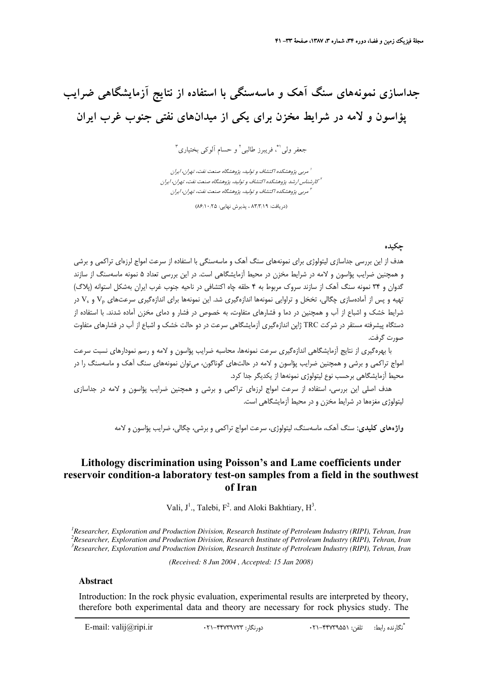# **جداسازي نمونههاي سنگ آهك و ماسهسنگي با استفاده از نتايج آزمايشگاهي ضرايب پؤاسون و لامه در شرايط مخزن براي يكي از ميدانهاي نفتي جنوب غرب ايران**

3 و حسام آلوكي بختياري <sup>2</sup> ، فريبرز طالبي <sup>1</sup>**\*** جعفر ولي

مربي پژوهشكده اكتشاف <sup>و</sup> توليد، پژوهشگاه صنعت نفت، تهران، ايران <sup>1</sup> كارشناس ارشد پژوهشكده اكتشاف <sup>و</sup> توليد، پژوهشگاه صنعت نفت، تهران، ايران <sup>2</sup> مربي پژوهشكده اكتشاف <sup>و</sup> توليد، پژوهشگاه صنعت نفت، تهران، ايران <sup>3</sup>

(دريافت: ٨٣/٣/١٩ ، پذيرش نهايي: ٨۶/١٠/٤٥)

## **چكيده**

هدف از اين بررسي جداسازي ليتولوژي براي نمونههاي سنگ آهك و ماسهسنگي با استفاده از سرعت امواج لرزهاي تراكمي و برشي و همچنين ضرايب پؤاسون و لامه در شرايط مخزن در محيط آزمايشگاهي است. در اين بررسي تعداد 5 نمونه ماسهسنگ از سازند گدوان و 34 نمونه سنگ آهك از سازند سروك مربوط به 4 حلقه چاه اكتشافي در ناحيه جنوب غرب ايران بهشكل استوانه (پلاگ) تهيه و پس از آمادهسازي چگالي، تخخل و تراوايي نمونهها اندازهگيري شد. اين نمونهها براي اندازهگيري سرعتهاي V<sub>p و Vs</sub> در شرايط خشك و اشباع از آب و همچنين در دما و فشارهاي متفاوت، به خصوص در فشار و دماي مخزن آماده شدند. با استفاده از دستگاه پيشرفته مستقر در شركت TRC ژاپن اندازهگيري آزمايشگاهي سرعت در دو حالت خشك و اشباع از آب در فشارهاي متفاوت صورت گرفت.

با بهرهگيري از نتايج آزمايشگاهي اندازهگيري سرعت نمونهها، محاسبه ضرايب پؤاسون و لامه و رسم نمودارهاي نسبت سرعت امواج تراكمي و برشي و همچنين ضرايب پؤاسون و لامه در حالتهاي گوناگون، ميتوان نمونههاي سنگ آهك و ماسهسنگ را در محيط آزمايشگاهي برحسب نوع ليتولوژي نمونهها از يكديگر جدا كرد.

هدف اصلي اين بررسي، استفاده از سرعت امواج لرزهاي تراكمي و برشي و همچنين ضرايب پؤاسون و لامه در جداسازي ليتولوژي مغزهها در شرايط مخزن و در محيط آزمايشگاهي است.

**واژههاي كليدي:** سنگ آهك، ماسهسنگ، ليتولوژي، سرعت امواج تراكمي و برشي، چگالي، ضرايب پؤاسون و لامه

## **Lithology discrimination using Poisson's and Lame coefficients under reservoir condition-a laboratory test-on samples from a field in the southwest of Iran**

Vali,  $J^1$ ., Talebi,  $F^2$ . and Aloki Bakhtiary,  $H^3$ .

<sup>*1</sup> Researcher, Exploration and Production Division, Research Institute of Petroleum Industry (RIPI), Tehran, Iran <sup>2</sup> Percearcher, Exploration and Production Division, Peacearch Institute of Petroleum Industry (PIPI), Te</sup>* <sup>2</sup> Researcher, Exploration and Production Division, Research Institute of Petroleum Industry (RIPI), Tehran, Iran *Researcher, Exploration and Production Division, Research Institute of Petroleum Industry (RIPI), Tehran, Iran* 

*(Received: 8 Jun 2004 , Accepted: 15 Jan 2008)* 

### **Abstract**

Introduction: In the rock physic evaluation, experimental results are interpreted by theory, therefore both experimental data and theory are necessary for rock physics study. The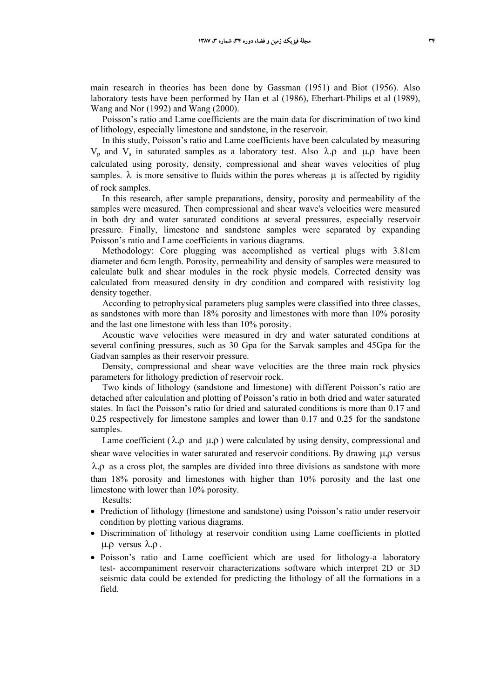main research in theories has been done by Gassman (1951) and Biot (1956). Also laboratory tests have been performed by Han et al (1986), Eberhart-Philips et al (1989), Wang and Nor (1992) and Wang (2000).

Poisson's ratio and Lame coefficients are the main data for discrimination of two kind of lithology, especially limestone and sandstone, in the reservoir.

In this study, Poisson's ratio and Lame coefficients have been calculated by measuring V<sub>p</sub> and V<sub>s</sub> in saturated samples as a laboratory test. Also  $λ$ ,  $ρ$  and  $μ$ ,  $ρ$  have been calculated using porosity, density, compressional and shear waves velocities of plug samples.  $\lambda$  is more sensitive to fluids within the pores whereas  $\mu$  is affected by rigidity of rock samples.

In this research, after sample preparations, density, porosity and permeability of the samples were measured. Then compressional and shear wave's velocities were measured in both dry and water saturated conditions at several pressures, especially reservoir pressure. Finally, limestone and sandstone samples were separated by expanding Poisson's ratio and Lame coefficients in various diagrams.

Methodology: Core plugging was accomplished as vertical plugs with 3.81cm diameter and 6cm length. Porosity, permeability and density of samples were measured to calculate bulk and shear modules in the rock physic models. Corrected density was calculated from measured density in dry condition and compared with resistivity log density together.

According to petrophysical parameters plug samples were classified into three classes, as sandstones with more than 18% porosity and limestones with more than 10% porosity and the last one limestone with less than 10% porosity.

Acoustic wave velocities were measured in dry and water saturated conditions at several confining pressures, such as 30 Gpa for the Sarvak samples and 45Gpa for the Gadvan samples as their reservoir pressure.

Density, compressional and shear wave velocities are the three main rock physics parameters for lithology prediction of reservoir rock.

Two kinds of lithology (sandstone and limestone) with different Poisson's ratio are detached after calculation and plotting of Poisson's ratio in both dried and water saturated states. In fact the Poisson's ratio for dried and saturated conditions is more than 0.17 and 0.25 respectively for limestone samples and lower than 0.17 and 0.25 for the sandstone samples.

Lame coefficient ( $\lambda \rho$  and  $\mu \rho$ ) were calculated by using density, compressional and shear wave velocities in water saturated and reservoir conditions. By drawing  $\mu$   $\rho$  versus  $\lambda$ .  $\rho$  as a cross plot, the samples are divided into three divisions as sandstone with more than 18% porosity and limestones with higher than 10% porosity and the last one limestone with lower than 10% porosity.

Results:

- Prediction of lithology (limestone and sandstone) using Poisson's ratio under reservoir condition by plotting various diagrams.
- Discrimination of lithology at reservoir condition using Lame coefficients in plotted μ.ρ versus  $λ$ .ρ.
- Poisson's ratio and Lame coefficient which are used for lithology-a laboratory test- accompaniment reservoir characterizations software which interpret 2D or 3D seismic data could be extended for predicting the lithology of all the formations in a field.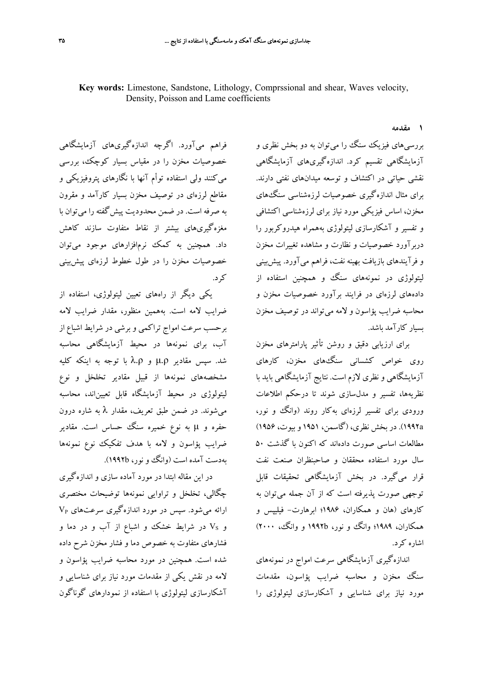**1 مقدمه**

فراهم ميآورد. اگرچه اندازهگيريهاي آزمايشگاهي خصوصيات مخزن را در مقياس بسيار كوچك، بررسي ميكنند ولي استفاده توأم آنها با نگارهاي پتروفيزيكي و مقاطع لرزهاي در توصيف مخزن بسيار كارآمد و مقرون به صرفه است. در ضمن محدوديت پيشگفته را ميتوان با مغزهگيريهاي بيشتر از نقاط متفاوت سازند كاهش داد. همچنين به كمك نرمافزارهاي موجود ميتوان خصوصيات مخزن را در طول خطوط لرزهاي پيشبيني كرد.

يكي ديگر از راههاي تعيين ليتولوژي، استفاده از ضرايب لامه است. بههمين منظور، مقدار ضرايب لامه برحسب سرعت امواج تراكمي و برشي در شرايط اشباع از آب، براي نمونهها در محيط آزمايشگاهي محاسبه شد. سپس مقادير ρ.μ و ρ.λ با توجه به اينكه كليه مشخصههاي نمونهها از قبيل مقادير تخلخل و نوع ليتولوژي در محيط آزمايشگاه قابل تعييناند، محاسبه ميشوند. در ضمن طبق تعريف، مقدار λ به شاره درون حفره و μ به نوع خميره سنگ حساس است. مقادير ضرايب پؤاسون و لامه با هدف تفكيك نوع نمونهها بهدست آمده است (وانگ و نور، b1992(.

در اين مقاله ابتدا در مورد آماده سازي و اندازهگيري چگالي، تخلخل و تراوايي نمونهها توضيحات مختصري ارائه ميشود. سپس در مورد اندازهگيري سرعتهاي VP و VS در شرايط خشك و اشباع از آب و در دما و فشارهاي متفاوت به خصوص دما و فشار مخزن شرح داده شده است. همچنين در مورد محاسبه ضرايب پؤاسون و لامه در نقش يكي از مقدمات مورد نياز براي شناسايي و آشكارسازي ليتولوژي با استفاده از نمودارهاي گوناگون

بررسيهاي فيزيك سنگ را ميتوان به دو بخش نظري و آزمايشگاهي تقسيم كرد. اندازهگيريهاي آزمايشگاهي نقشي حياتي در اكتشاف و توسعه ميدانهاي نفتي دارند. براي مثال اندازهگيري خصوصيات لرزهشناسي سنگهاي مخزن، اساس فيزيكي مورد نياز براي لرزهشناسي اكتشافي و تفسير و آشكارسازي ليتولوژي بههمراه هيدروكربور را دربرآورد خصوصيات و نظارت و مشاهده تغييرات مخزن و فرآيندهاي بازيافت بهينه نفت، فراهم ميآورد. پيشبيني ليتولوژي در نمونههاي سنگ و همچنين استفاده از دادههاي لرزهاي در فرايند برآورد خصوصيات مخزن و محاسبه ضرايب پؤاسون و لامه ميتواند در توصيف مخزن بسيار كارآمد باشد.

براي ارزيابي دقيق و روشن تأثير پارامترهاي مخزن روي خواص كشساني سنگهاي مخزن، كارهاي آزمايشگاهي و نظري لازم است. نتايج آزمايشگاهي بايد با نظريهها، تفسير و مدلسازي شوند تا درحكم اطلاعات ورودي براي تفسير لرزهاي بهكار روند (وانگ و نور، a1992(. در بخش نظري، (گاسمن، 1951 و بيوت، 1956) مطالعات اساسي صورت دادهاند كه اكنون با گذشت 50 سال مورد استفاده محققان و صاحبنظران صنعت نفت قرار ميگيرد. در بخش آزمايشگاهي تحقيقات قابل توجهي صورت پذيرفته است كه از آن جمله ميتوان به كارهاي (هان و همكاران، 1986؛ ابرهارت- فيليپس و همكاران، 1989؛ وانگ و نور، b1992 و وانگ، 2000) اشاره كرد.

اندازهگيري آزمايشگاهي سرعت امواج در نمونههاي سنگ مخزن و محاسبه ضرايب پؤاسون، مقدمات مورد نياز براي شناسايي و آشكارسازي ليتولوژي را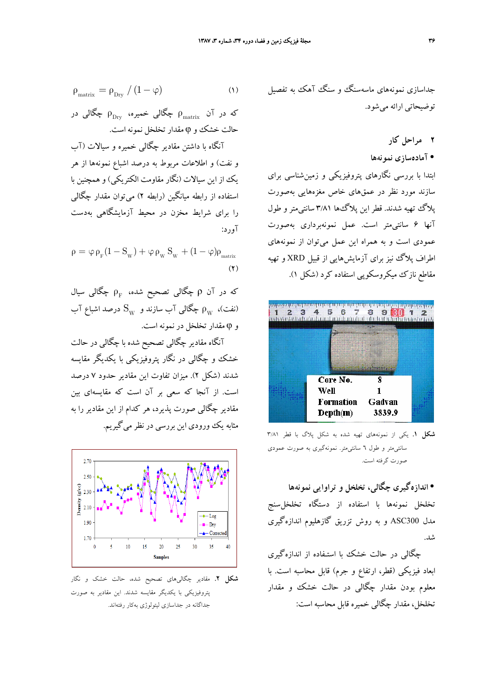$$
\rho_{\text{matrix}} = \rho_{\text{Dry}} / (1 - \varphi) \tag{1}
$$

که در آن  $\rho_{\rm m}$  چگالی خمیره،  $\rho_{\rm m}$  چگالی در حالت خشك و φ مقدار تخلخل نمونه است. آنگاه با داشتن مقادير چگالي خميره و سيالات (آب

و نفت) و اطلاعات مربوط به درصد اشباع نمونهها از هر يك از اين سيالات (نگار مقاومت الكتريكي) و همچنين با استفاده از رابطه ميانگين (رابطه 2) ميتوان مقدار چگالي را براي شرايط مخزن در محيط آزمايشگاهي بهدست آورد:

 $\rho = \varphi \rho_{\rm F} (1 - S_{\rm w}) + \varphi \rho_{\rm w} S_{\rm w} + (1 - \varphi) \rho_{\rm matrix}$  $(Y)$ 

که در آن ρ چگالی تصحیح شده،  $\rho_{\rm F}$  چگالی سیال نفت)، بهرام چگالی آب سازند و  $\mathrm{S_w}$  درصد اشباع آب  $\rho_\mathrm{w}$ و φ مقدار تخلخل در نمونه است.

آنگاه مقادير چگالي تصحيح شده با چگالي در حالت خشك و چگالي در نگار پتروفيزيكي با يكديگر مقايسه شدند (شكل 2). ميزان تفاوت اين مقادير حدود 7 درصد است. از آنجا كه سعي بر آن است كه مقايسهاي بين مقادير چگالي صورت پذيرد، هر كدام از اين مقادير را به مثابه يك ورودي اين بررسي در نظر ميگيريم.



**شكل .2** مقادير چگاليهاي تصحيح شده، حالت خشك و نگار پتروفيزيكي با يكديگر مقايسه شدند. اين مقادير به صورت جداگانه در جداسازي ليتولوژي بهكار رفتهاند.

جداسازي نمونههاي ماسهسنگ و سنگ آهك به تفصيل توضيحاتي ارائه ميشود.

**2 مراحل كار**

• **آمادهسازي نمونهها**

ابتدا با بررسي نگارهاي پتروفيزيكي و زمينشناسي براي سازند مورد نظر در عمقهاي خاص مغزههايي بهصورت پلاگ تهيه شدند. قطر اين پلاگها 3/81 سانتيمتر و طول آنها 6 سانتيمتر است. عمل نمونهبرداري بهصورت عمودي است و به همراه اين عمل ميتوان از نمونههاي اطراف پلاگ نيز براي آزمايشهايي از قبيل XRD و تهيه مقاطع نازك ميكروسكوپي استفاده كرد (شكل 1).



**شكل .1** يكي از نمونههاي تهيه شده به شكل پلاگ با قطر 3/81 سانتيمتر و طول 6 سانتيمتر. نمونهگيري به صورت عمودي صورت گرفته است.

• **اندازهگيري چگالي، تخلخل و تراوايي نمونهها** تخلخل نمونهها با استفاده از دستگاه تخلخلسنج مدل 300ASC و به روش تزريق گازهليوم اندازهگيري شد.

چگالي در حالت خشك با استـفاده از اندازهگيري ابعاد فيزيكي (قطر، ارتفاع و جرم) قابل محاسبه است. با معلوم بودن مقدار چگالي در حالت خشك و مقدار تخلخل، مقدار چگالي خميره قابل محاسبه است: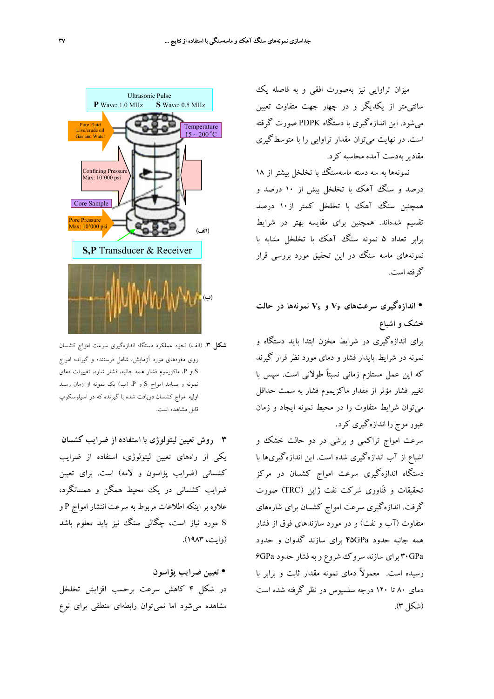ميزان تراوايي نيز بهصورت افقي و به فاصله يك سانتيمتر از يكديگر و در چهار جهت متفاوت تعيين ميشود. اين اندازهگيري با دستگاه PDPK صورت گرفته است. در نهايت ميتوان مقدار تراوايي را با متوسطگيري مقاديربهدست آمده محاسبه كرد.

نمونهها به سه دسته ماسهسنگ با تخلخل بيشتر از 18 درصد و سنگ آهك با تخلخل بيش از 10 درصد و همچنين سنگ آهك با تخلخل كمتر از10 درصد تقسيم شدهاند. همچنين براي مقايسه بهتر در شرايط برابر تعداد 5 نمونه سنگ آهك با تخلخل مشابه با نمونههاي ماسه سنگ در اين تحقيق مورد بررسي قرار گرفته است.

• **اندازهگيري سرعتهاي VP و VS نمونهها در حالت خشك و اشباع**

براي اندازهگيري در شرايط مخزن ابتدا بايد دستگاه و نمونه در شرايط پايدار فشار و دماي مورد نظر قرار گيرند كه اين عمل مستلزم زماني نسبتاً طولاني است. سپس با تغيير فشار مؤثر از مقدار ماكزيموم فشار به سمت حداقل ميتوان شرايط متفاوت را در محيط نمونه ايجاد و زمان عبور موج را اندازهگيري كرد.

سرعت امواج تراكمي و برشي در دو حالت خشك و اشباع از آب اندازهگيري شده است. اين اندازهگيريها با دستگاه اندازهگيري سرعت امواج كشسان در مركز تحقيقات و فنّاوري شركت نفت ژاپن (TRC (صورت گرفت. اندازهگيري سرعت امواج كشسان براي شارههاي متفاوت (آب و نفت) و در مورد سازندهاي فوق از فشار همه جانبه حدود GPa45 براي سازند گدوان و حدود GPa30 براي سازند سروك شروع و به فشار حدود GPa6 رسيده است. معمولاً دماي نمونه مقدار ثابت و برابر با دماي 80 تا 120 درجه سلسيوس در نظر گرفته شده است (شكل 3).



**شكل .3** (الف) نحوه عملكرد دستگاه اندازهگيري سرعت امواج كشسان روي مغزههاي مورد آزمايش، شامل فرستنده و گيرنده امواج S و P، ماكزيموم فشار همه جانبه، فشار شاره، تغييرات دماي نمونه و بسامد امواج S و P.) ب) يك نمونه از زمان رسيد اوليه امواج كشسان دريافت شده با گيرنده كه در اسيلوسكوپ قابل مشاهده است.

**3 روش تعيين ليتولوژي با استفاده از ضرايب كشسان** يكي از راههاي تعيين ليتولوژي، استفاده از ضرايب كشساني (ضرايب پؤاسون و لامه) است. براي تعيين ضرايب كشساني در يك محيط همگن و همسانگرد، علاوه بر اينكه اطلاعات مربوط به سرعت انتشار امواج P و S مورد نياز است، چگالي سنگ نيز بايد معلوم باشد (وايت، 1983).

• **تعيين ضرايب پؤاسون** در شكل 4 كاهش سرعت برحسب افزايش تخلخل مشاهده ميشود اما نميتوان رابطهاي منطقي براي نوع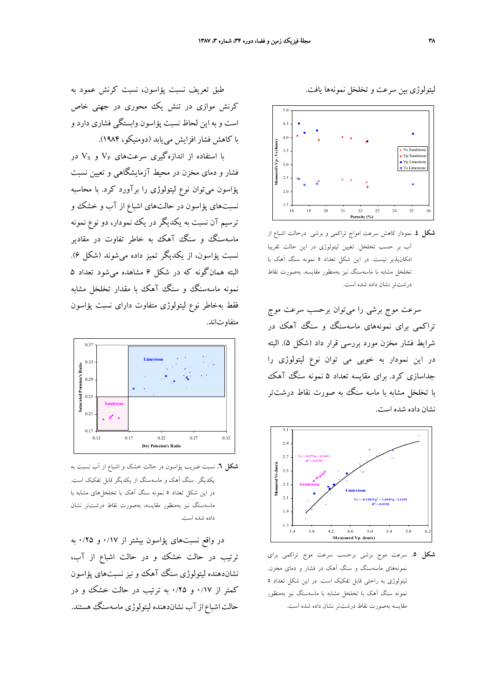ليتولوژي بين سرعت وتخلخل نمونهها يافت.



**شكل .4** نمودار كاهش سرعت امواج تراكمي و برشي درحالت اشباع از آب بر حسب تخلخل. تعيين ليتولوژي در اين حالت تقريبا امكانپذير نيست. در اين شكل تعداد 5 نمونه سنگ آهك با تخلخل مشابه با ماسهسنگ نيز بهمنظور مقايسه، بهصورت نقاط درشتتر نشان داده شده است.

سرعت موج برشي را ميتوان برحسب سرعت موج تراكمي براي نمونههاي ماسهسنگ و سنگ آهك در شرايط فشار مخزن مورد بررسي قرار داد (شكل 5). البته در اين نمودار به خوبي مي توان نوع ليتولوژي را جداسازي كرد. براي مقايسه تعداد 5 نمونه سنگ آهك با تخلخل مشابه با ماسه سنگ به صورت نقاط درشتتر نشان داده شده است.



**شكل .5** سرعت موج برشي برحسب سرعت موج تراكمي براي نمونههاي ماسهسنگ و سنگ آهك در فشار و دماي مخزن. ليتولوژي به راحتي قابل تفكيك است. در اين شكل تعداد 5 نمونه سنگ آهك با تخلخل مشابه با ماسهسنگ نيز بهمنظور مقايسه بهصورت نقاط درشتتر نشان داده شده است.

طبق تعريف نسبت پؤاسون، نسبت كرنش عمود به كرنش موازي در تنش يك محوري در جهتي خاص است و به اين لحاظ نسبت پؤاسون وابستگي فشاري دارد و با كاهش فشار افزايش مييابد (دومنيكو، 1984).

با استفاده از اندازهگيري سرعتهاي VP و VS در فشار و دماي مخزن در محيط آزمايشگاهي و تعيين نسبت پؤاسون ميتوان نوع ليتولوژي را برآورد كرد. با محاسبه نسبتهاي پؤاسون در حالتهاي اشباع از آب و خشك و ترسيم آن نسبت به يكديگر در يك نمودار، دو نوع نمونه ماسهسنگ و سنگ آهك به خاطر تفاوت در مقادير نسبت پؤاسون، از يكديگر تميز داده ميشوند (شكل 6). البته همانگونه كه در شكل 6 مشاهده ميشود تعداد 5 نمونه ماسهسنگ و سنگ آهك با مقدار تخلخل مشابه فقط بهخاطر نوع ليتولوژي متفاوت داراي نسبت پؤاسون متفاوتاند.



**شكل .6** نسبت ضريب پؤاسون در حالت خشك و اشباع از آب نسبت به يكديگر. سنگ آهك و ماسهسنگ از يكديگر قابل تفكيك است. در اين شكل تعداد 5 نمونه سنگ آهك با تخلخلهاي مشابه با ماسهسنگ نيز بهمنظور مقايسه، بهصورت نقاط درشتتر نشان داده شده است.

در واقع نسبتهاي پؤاسون بيشتر از 0/17 و 0/25 به ترتيب در حالت خشك و در حالت اشباع از آب، نشاندهنده ليتولوژي سنگ آهك و نيز نسبتهاي پؤاسون كمتر از 0/17 و 0/25 به ترتيب در حالت خشك و در حالتاشباع ازآب نشاندهنده ليتولوژي ماسهسنگ هستند.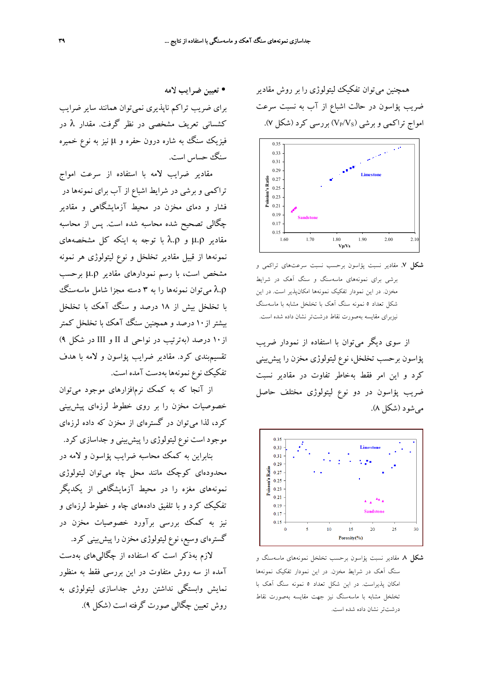همچنين ميتوان تفكيك ليتولوژي را بر روش مقادير ضريب پؤاسون در حالت اشباع از آب به نسبت سرعت امواج تراكمي و برشي  $(V_P/V_S)$  بررسي كرد (شكل ۷).



**شكل .7** مقادير نسبت پؤاسون برحسب نسبت سرعتهاي تراكمي و برشي براي نمونههاي ماسهسنگ و سنگ آهك در شرايط مخزن. در اين نمودار تفكيك نمونهها امكانپذير است. در اين شكل تعداد 5 نمونه سنگ آهك با تخلخل مشابه با ماسهسنگ نيزبراي مقايسه بهصورت نقاط درشتتر نشان داده شده است.

از سوي ديگر ميتوان با استفاده از نمودار ضريب پؤاسون برحسب تخلخل، نوع ليتولوژي مخزن را پيشبيني كرد و اين امر فقط بهخاطر تفاوت در مقادير نسبت ضريب پؤاسون در دو نوع ليتولوژي مختلف حاصل ميشود (شكل 8).



**شكل .8** مقادير نسبت پؤاسون برحسب تخلخل نمونههاي ماسهسنگ و سنگ آهك در شرايط مخزن. در اين نمودار تفكيك نمونهها امكان پذيراست. در اين شكل تعداد 5 نمونه سنگ آهك با تخلخل مشابه با ماسهسنگ نيز جهت مقايسه بهصورت نقاط درشتتر نشان داده شده است.

• **تعيين ضرايب لامه** براي ضريب تراكم ناپذيري نميتوان همانند ساير ضرايب كشساني تعريف مشخصي در نظر گرفت. مقدار λ در فيزيك سنگ به شاره درون حفره و μ نيز به نوع خميره سنگ حساس است.

مقادير ضرايب لامه با استفاده از سرعت امواج تراكمي و برشي در شرايط اشباع از آب براي نمونهها در فشار و دماي مخزن در محيط آزمايشگاهي و مقادير چگالي تصحيح شده محاسبه شده است. پس از محاسبه مقادير ρ.μ و ρ.λ با توجه به اينكه كل مشخصههاي نمونهها از قبيل مقادير تخلخل و نوع ليتولوژي هر نمونه مشخص است، با رسم نمودارهاي مقادير ρ.μ برحسب هیتوان نمونهها را به ۳ دسته مجزا شامل ماسهسنگ با تخلخل بيش از 18 درصد و سنگ آهك با تخلخل بيشتر از10 درصد و همچنين سنگ آهك با تخلخل كمتر از10 درصد (بهترتيب در نواحي I، II و III در شكل 9) تقسيمبندي كرد. مقادير ضرايب پؤاسون و لامه با هدف تفكيك نوع نمونهها بهدست آمده است.

از آنجا كه به كمك نرمافزارهاي موجود ميتوان خصوصيات مخزن را بر روي خطوط لرزهاي پيشبيني كرد، لذا ميتوان در گسترهاي از مخزن كه داده لرزهاي موجود است نوع ليتولوژي را پيشبيني و جداسازي كرد. بنابراين به كمك محاسبه ضرايب پؤاسون و لامه در محدودهاي كوچك مانند محل چاه ميتوان ليتولوژي نمونههاي مغزه را در محيط آزمايشگاهي از يكديگر تفكيك كرد و با تلفيق دادههاي چاه و خطوط لرزهاي و نيز به كمك بررسي برآورد خصوصيات مخزن در گسترهاي وسيع، نوع ليتولوژي مخزن را پيشبيني كرد.

لازم بهذكر است كه استفاده از چگاليهاي بهدست آمده از سه روش متفاوت در اين بررسي فقط به منظور نمايش وابستگي نداشتن روش جداسازي ليتولوژي به روش تعيين چگالي صورت گرفته است (شكل 9).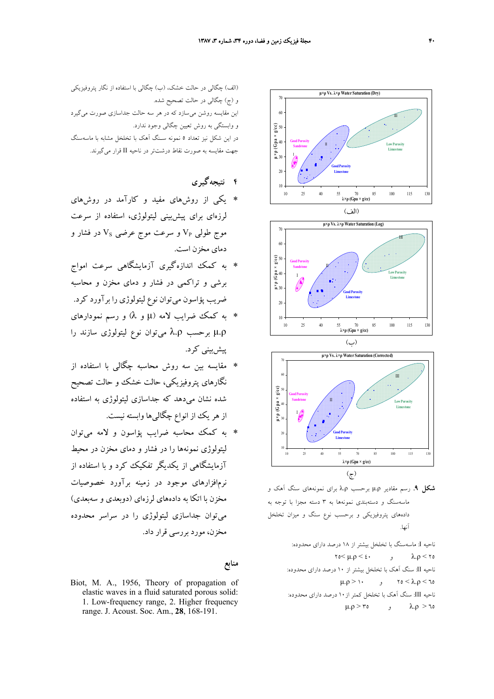

**شكل .9** رسم مقادير ρ.μ برحسب ρ.λ براي نمونههاي سنگ آهك و ماسهسنگ و دستهبندي نمونهها به 3 دسته مجزا با توجه به دادههاي پتروفيزيكي و برحسب نوع سنگ و ميزان تخلخل آنها.

ناحيه I: ماسهسنگ با تخلخل بيشتر از 18 درصد داراي محدوده:  $\gamma_0 < \mu, \rho < \epsilon$ ,  $\lambda, \rho < \gamma_0$ ناحيه II: سنگ آهك با تخلخل بيشتر از 10 درصد داراي محدوده:  $μ.ρ > 1$  ,  $τo < λ.ρ < τo$ ناحيه III: سنگ آهك با تخلخل كمتر از10 درصد داراي محدوده:  $μ.ρ > r<sub>0</sub>$  ,  $λ.ρ > t<sub>0</sub>$ 

(الف) چگالي در حالت خشك، (ب) چگالي با استفاده از نگار پتروفيزيكي و (ج) چگالي در حالت تصحيح شده. اين مقايسه روشن ميسازد كه در هر سه حالت جداسازي صورت ميگيرد و وابستگي به روش تعيين چگالي وجود ندارد. در اين شكل نيز تعداد 5 نمونه سـنگ آهك با تخلخل مشابه با ماسهسنگ جهت مقايسه به صورت نقاط درشتتر در ناحيه II قرار ميگيرند.

**4 نتيجهگيري**

- ∗ يكي از روشهاي مفيد و كارآمد در روشهاي لرزهاي براي پيشبيني ليتولوژي، استفاده از سرعت موج طولی VP و سرعت موج عرضی Vs در فشار و دماي مخزن است.
- ∗ به كمك اندازهگيري آزمايشگاهي سرعت امواج برشي و تراكمي در فشار و دماي مخزن و محاسبه ضريب پؤاسون ميتوان نوع ليتولوژي را برآورد كرد.
- ∗ به كمك ضرايب لامه (μ و λ (و رسم نمودارهاي ρ.μ برحسب ρ.λ ميتوان نوع ليتولوژي سازند را پيشبيني كرد.
- ∗ مقايسه بين سه روش محاسبه چگالي با استفاده از نگارهاي پتروفيزيكي، حالت خشك و حالت تصحيح شده نشان ميدهد كه جداسازي ليتولوژي به استفاده از هريك از انواع چگاليها وابسته نيست.
- ∗ به كمك محاسبه ضرايب پؤاسون و لامه ميتوان ليتولوژي نمونهها را در فشار و دماي مخزن در محيط آزمايشگاهي از يكديگر تفكيك كرد و با استفاده از نرمافزارهاي موجود در زمينه برآورد خصوصيات مخزن با اتكا به دادههاي لرزهاي (دوبعدي و سهبعدي) ميتوان جداسازي ليتولوژي را در سراسر محدوده مخزن، مورد بررسي قرار داد.

#### **منابع**

Biot, M. A., 1956, Theory of propagation of elastic waves in a fluid saturated porous solid: 1. Low-frequency range, 2. Higher frequency range. J. Acoust. Soc. Am., **28**, 168-191.